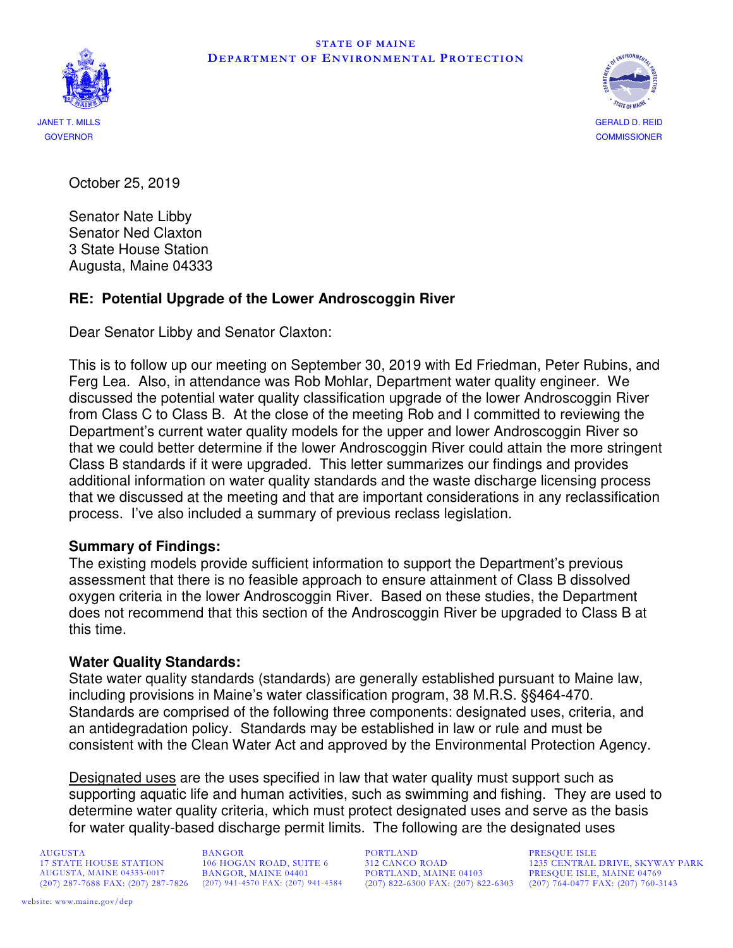



October 25, 2019

Senator Nate Libby Senator Ned Claxton 3 State House Station Augusta, Maine 04333

# **RE: Potential Upgrade of the Lower Androscoggin River**

Dear Senator Libby and Senator Claxton:

This is to follow up our meeting on September 30, 2019 with Ed Friedman, Peter Rubins, and Ferg Lea. Also, in attendance was Rob Mohlar, Department water quality engineer. We discussed the potential water quality classification upgrade of the lower Androscoggin River from Class C to Class B. At the close of the meeting Rob and I committed to reviewing the Department's current water quality models for the upper and lower Androscoggin River so that we could better determine if the lower Androscoggin River could attain the more stringent Class B standards if it were upgraded. This letter summarizes our findings and provides additional information on water quality standards and the waste discharge licensing process that we discussed at the meeting and that are important considerations in any reclassification process. I've also included a summary of previous reclass legislation.

## **Summary of Findings:**

The existing models provide sufficient information to support the Department's previous assessment that there is no feasible approach to ensure attainment of Class B dissolved oxygen criteria in the lower Androscoggin River. Based on these studies, the Department does not recommend that this section of the Androscoggin River be upgraded to Class B at this time.

#### **Water Quality Standards:**

State water quality standards (standards) are generally established pursuant to Maine law, including provisions in Maine's water classification program, 38 M.R.S. §§464-470. Standards are comprised of the following three components: designated uses, criteria, and an antidegradation policy. Standards may be established in law or rule and must be consistent with the Clean Water Act and approved by the Environmental Protection Agency.

Designated uses are the uses specified in law that water quality must support such as supporting aquatic life and human activities, such as swimming and fishing. They are used to determine water quality criteria, which must protect designated uses and serve as the basis for water quality-based discharge permit limits. The following are the designated uses

AUGUSTA, MAINE 04333-0017 BANGOR, MAINE 04401 PORTLAND, MAINE 04103 PRESQUE ISLE, MAINE 04769

AUGUSTA BANGOR PORTLAND PRESQUE ISLE

17 STATE HOUSE STATION 106 HOGAN ROAD, SUITE 6 312 CANCO ROAD 1235 CENTRAL DRIVE, SKYWAY PARK AUGUSTA, MAINE 04333-0017 BANGOR, MAINE 04401 PORTLAND, MAINE 04103 PRESQUE ISLE, MAINE 04769 (207) 822-6300 FAX: (207) 822-6303 (207) 764-0477 FAX: (207) 760-3143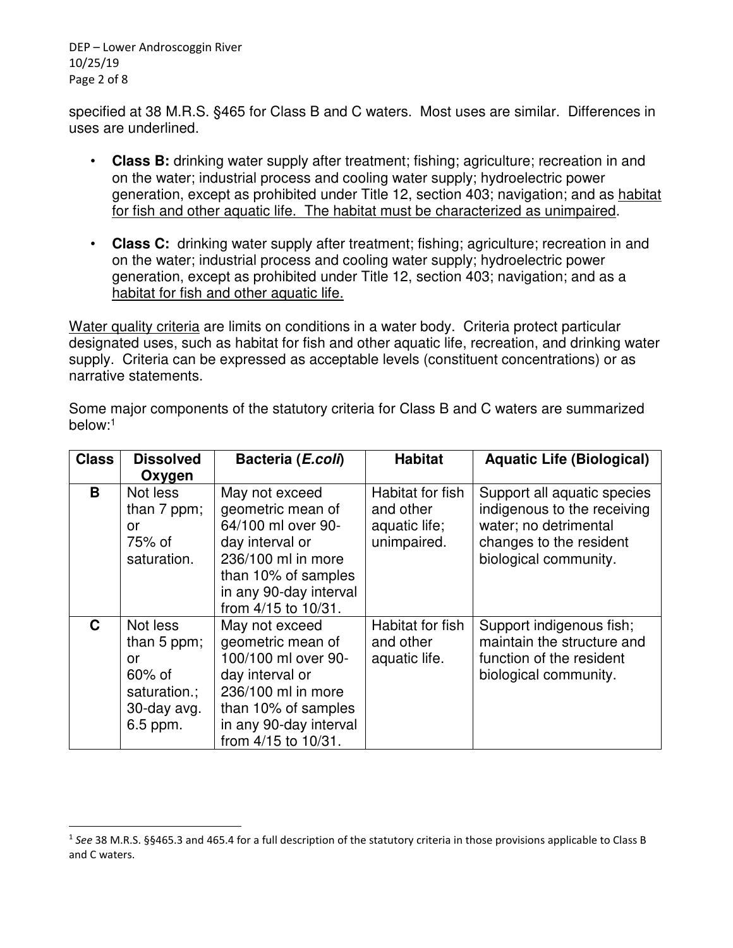DEP – Lower Androscoggin River 10/25/19 Page 2 of 8

specified at 38 M.R.S. §465 for Class B and C waters. Most uses are similar. Differences in uses are underlined.

- **Class B:** drinking water supply after treatment; fishing; agriculture; recreation in and on the water; industrial process and cooling water supply; hydroelectric power generation, except as prohibited under Title 12, section 403; navigation; and as habitat for fish and other aquatic life. The habitat must be characterized as unimpaired.
- **Class C:** drinking water supply after treatment; fishing; agriculture; recreation in and on the water; industrial process and cooling water supply; hydroelectric power generation, except as prohibited under Title 12, section 403; navigation; and as a habitat for fish and other aquatic life.

Water quality criteria are limits on conditions in a water body. Criteria protect particular designated uses, such as habitat for fish and other aquatic life, recreation, and drinking water supply. Criteria can be expressed as acceptable levels (constituent concentrations) or as narrative statements.

| <b>Class</b> | <b>Dissolved</b>                                                                        | Bacteria (E.coli)                                                                                                                                                           | <b>Habitat</b>                                                | <b>Aquatic Life (Biological)</b>                                                                                                        |
|--------------|-----------------------------------------------------------------------------------------|-----------------------------------------------------------------------------------------------------------------------------------------------------------------------------|---------------------------------------------------------------|-----------------------------------------------------------------------------------------------------------------------------------------|
|              | Oxygen                                                                                  |                                                                                                                                                                             |                                                               |                                                                                                                                         |
| B            | Not less<br>than 7 ppm;<br>or<br>75% of<br>saturation.                                  | May not exceed<br>geometric mean of<br>64/100 ml over 90-<br>day interval or<br>236/100 ml in more<br>than 10% of samples<br>in any 90-day interval<br>from 4/15 to 10/31.  | Habitat for fish<br>and other<br>aquatic life;<br>unimpaired. | Support all aquatic species<br>indigenous to the receiving<br>water; no detrimental<br>changes to the resident<br>biological community. |
| C            | Not less<br>than $5$ ppm;<br>or<br>$60\%$ of<br>saturation.;<br>30-day avg.<br>6.5 ppm. | May not exceed<br>geometric mean of<br>100/100 ml over 90-<br>day interval or<br>236/100 ml in more<br>than 10% of samples<br>in any 90-day interval<br>from 4/15 to 10/31. | Habitat for fish<br>and other<br>aquatic life.                | Support indigenous fish;<br>maintain the structure and<br>function of the resident<br>biological community.                             |

Some major components of the statutory criteria for Class B and C waters are summarized below:<sup>1</sup>

<sup>&</sup>lt;sup>1</sup> See 38 M.R.S. §§465.3 and 465.4 for a full description of the statutory criteria in those provisions applicable to Class B and C waters.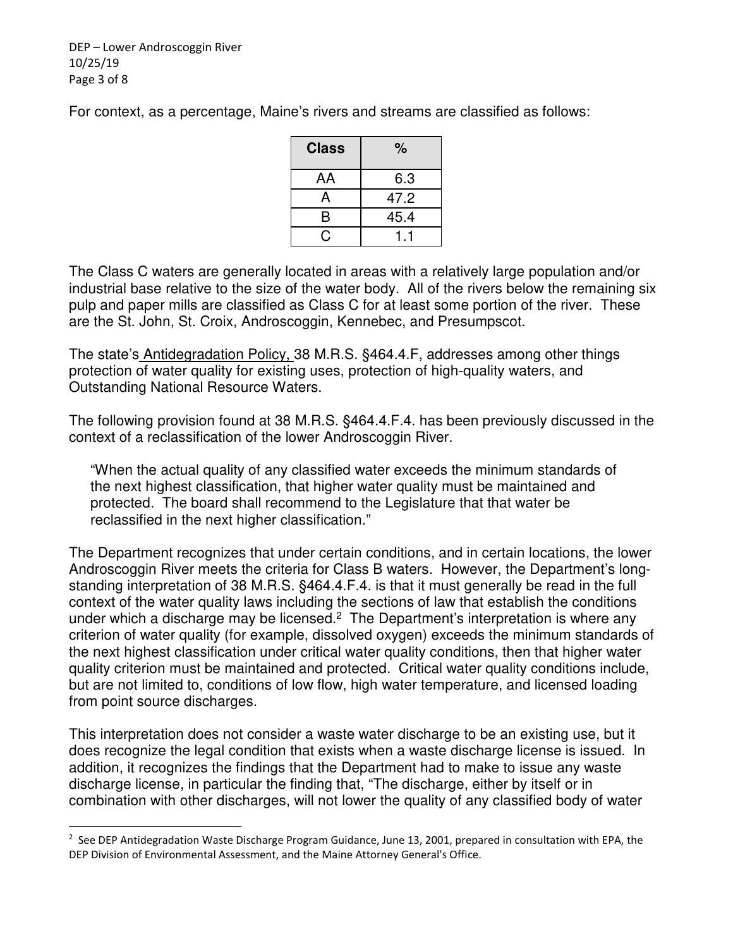DEP – Lower Androscoggin River 10/25/19 Page 3 of 8

For context, as a percentage, Maine's rivers and streams are classified as follows:

| Class | %    |
|-------|------|
| AA    | 6.3  |
| A     | 47.2 |
| B     | 45.4 |
|       |      |

The Class C waters are generally located in areas with a relatively large population and/or industrial base relative to the size of the water body. All of the rivers below the remaining six pulp and paper mills are classified as Class C for at least some portion of the river. These are the St. John, St. Croix, Androscoggin, Kennebec, and Presumpscot.

The state's Antidegradation Policy, 38 M.R.S. §464.4.F, addresses among other things protection of water quality for existing uses, protection of high-quality waters, and Outstanding National Resource Waters.

The following provision found at 38 M.R.S. §464.4.F.4. has been previously discussed in the context of a reclassification of the lower Androscoggin River.

"When the actual quality of any classified water exceeds the minimum standards of the next highest classification, that higher water quality must be maintained and protected. The board shall recommend to the Legislature that that water be reclassified in the next higher classification."

The Department recognizes that under certain conditions, and in certain locations, the lower Androscoggin River meets the criteria for Class B waters. However, the Department's longstanding interpretation of 38 M.R.S. §464.4.F.4. is that it must generally be read in the full context of the water quality laws including the sections of law that establish the conditions under which a discharge may be licensed.<sup>2</sup> The Department's interpretation is where any criterion of water quality (for example, dissolved oxygen) exceeds the minimum standards of the next highest classification under critical water quality conditions, then that higher water quality criterion must be maintained and protected. Critical water quality conditions include, but are not limited to, conditions of low flow, high water temperature, and licensed loading from point source discharges.

This interpretation does not consider a waste water discharge to be an existing use, but it does recognize the legal condition that exists when a waste discharge license is issued. In addition, it recognizes the findings that the Department had to make to issue any waste discharge license, in particular the finding that, "The discharge, either by itself or in combination with other discharges, will not lower the quality of any classified body of water

<sup>&</sup>lt;sup>2</sup> See DEP Antidegradation Waste Discharge Program Guidance, June 13, 2001, prepared in consultation with EPA, the DEP Division of Environmental Assessment, and the Maine Attorney General's Office.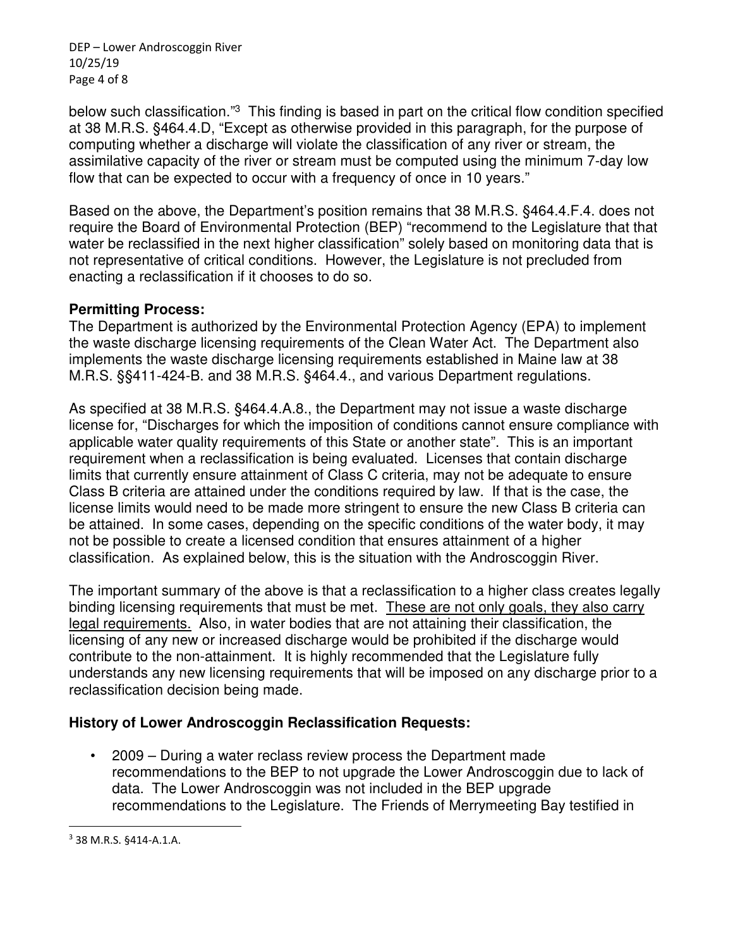DEP – Lower Androscoggin River 10/25/19 Page 4 of 8

below such classification."<sup>3</sup> This finding is based in part on the critical flow condition specified at 38 M.R.S. §464.4.D, "Except as otherwise provided in this paragraph, for the purpose of computing whether a discharge will violate the classification of any river or stream, the assimilative capacity of the river or stream must be computed using the minimum 7-day low flow that can be expected to occur with a frequency of once in 10 years."

Based on the above, the Department's position remains that 38 M.R.S. §464.4.F.4. does not require the Board of Environmental Protection (BEP) "recommend to the Legislature that that water be reclassified in the next higher classification" solely based on monitoring data that is not representative of critical conditions. However, the Legislature is not precluded from enacting a reclassification if it chooses to do so.

### **Permitting Process:**

The Department is authorized by the Environmental Protection Agency (EPA) to implement the waste discharge licensing requirements of the Clean Water Act. The Department also implements the waste discharge licensing requirements established in Maine law at 38 M.R.S. §§411-424-B. and 38 M.R.S. §464.4., and various Department regulations.

As specified at 38 M.R.S. §464.4.A.8., the Department may not issue a waste discharge license for, "Discharges for which the imposition of conditions cannot ensure compliance with applicable water quality requirements of this State or another state". This is an important requirement when a reclassification is being evaluated. Licenses that contain discharge limits that currently ensure attainment of Class C criteria, may not be adequate to ensure Class B criteria are attained under the conditions required by law. If that is the case, the license limits would need to be made more stringent to ensure the new Class B criteria can be attained. In some cases, depending on the specific conditions of the water body, it may not be possible to create a licensed condition that ensures attainment of a higher classification. As explained below, this is the situation with the Androscoggin River.

The important summary of the above is that a reclassification to a higher class creates legally binding licensing requirements that must be met. These are not only goals, they also carry legal requirements. Also, in water bodies that are not attaining their classification, the licensing of any new or increased discharge would be prohibited if the discharge would contribute to the non-attainment. It is highly recommended that the Legislature fully understands any new licensing requirements that will be imposed on any discharge prior to a reclassification decision being made.

## **History of Lower Androscoggin Reclassification Requests:**

• 2009 – During a water reclass review process the Department made recommendations to the BEP to not upgrade the Lower Androscoggin due to lack of data. The Lower Androscoggin was not included in the BEP upgrade recommendations to the Legislature. The Friends of Merrymeeting Bay testified in

<sup>3</sup> 38 M.R.S. §414-A.1.A.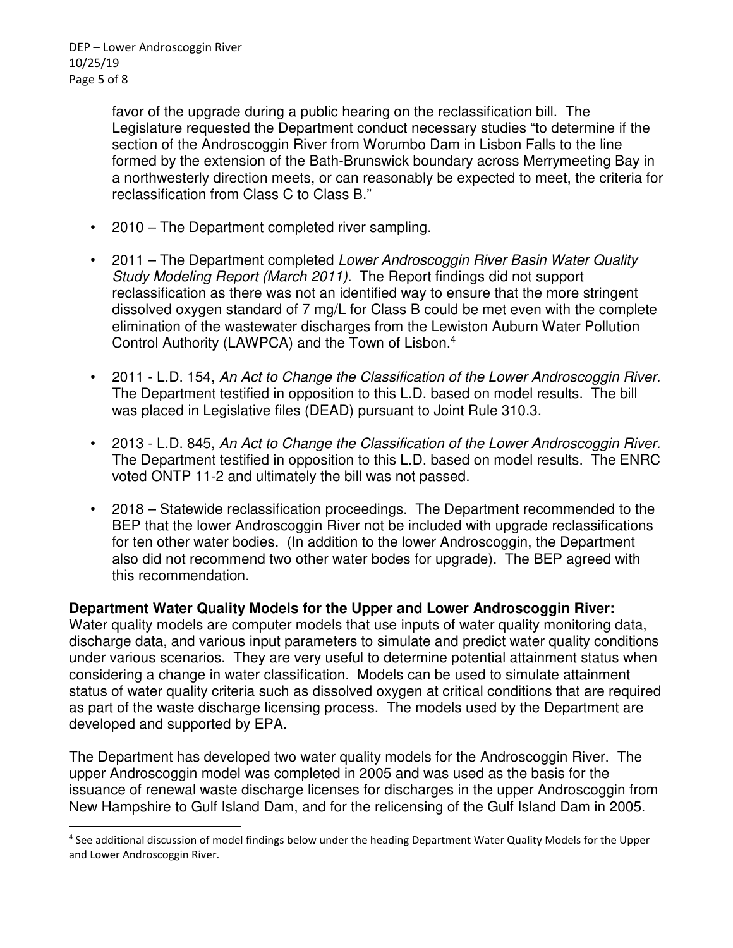favor of the upgrade during a public hearing on the reclassification bill. The Legislature requested the Department conduct necessary studies "to determine if the section of the Androscoggin River from Worumbo Dam in Lisbon Falls to the line formed by the extension of the Bath-Brunswick boundary across Merrymeeting Bay in a northwesterly direction meets, or can reasonably be expected to meet, the criteria for reclassification from Class C to Class B."

- 2010 The Department completed river sampling.
- 2011 The Department completed Lower Androscoggin River Basin Water Quality Study Modeling Report (March 2011). The Report findings did not support reclassification as there was not an identified way to ensure that the more stringent dissolved oxygen standard of 7 mg/L for Class B could be met even with the complete elimination of the wastewater discharges from the Lewiston Auburn Water Pollution Control Authority (LAWPCA) and the Town of Lisbon.<sup>4</sup>
- 2011 L.D. 154, An Act to Change the Classification of the Lower Androscoggin River. The Department testified in opposition to this L.D. based on model results. The bill was placed in Legislative files (DEAD) pursuant to Joint Rule 310.3.
- 2013 L.D. 845, An Act to Change the Classification of the Lower Androscoggin River. The Department testified in opposition to this L.D. based on model results. The ENRC voted ONTP 11-2 and ultimately the bill was not passed.
- 2018 Statewide reclassification proceedings. The Department recommended to the BEP that the lower Androscoggin River not be included with upgrade reclassifications for ten other water bodies. (In addition to the lower Androscoggin, the Department also did not recommend two other water bodes for upgrade). The BEP agreed with this recommendation.

**Department Water Quality Models for the Upper and Lower Androscoggin River:** 

Water quality models are computer models that use inputs of water quality monitoring data, discharge data, and various input parameters to simulate and predict water quality conditions under various scenarios. They are very useful to determine potential attainment status when considering a change in water classification. Models can be used to simulate attainment status of water quality criteria such as dissolved oxygen at critical conditions that are required as part of the waste discharge licensing process. The models used by the Department are developed and supported by EPA.

The Department has developed two water quality models for the Androscoggin River. The upper Androscoggin model was completed in 2005 and was used as the basis for the issuance of renewal waste discharge licenses for discharges in the upper Androscoggin from New Hampshire to Gulf Island Dam, and for the relicensing of the Gulf Island Dam in 2005.

<sup>4</sup> See additional discussion of model findings below under the heading Department Water Quality Models for the Upper and Lower Androscoggin River.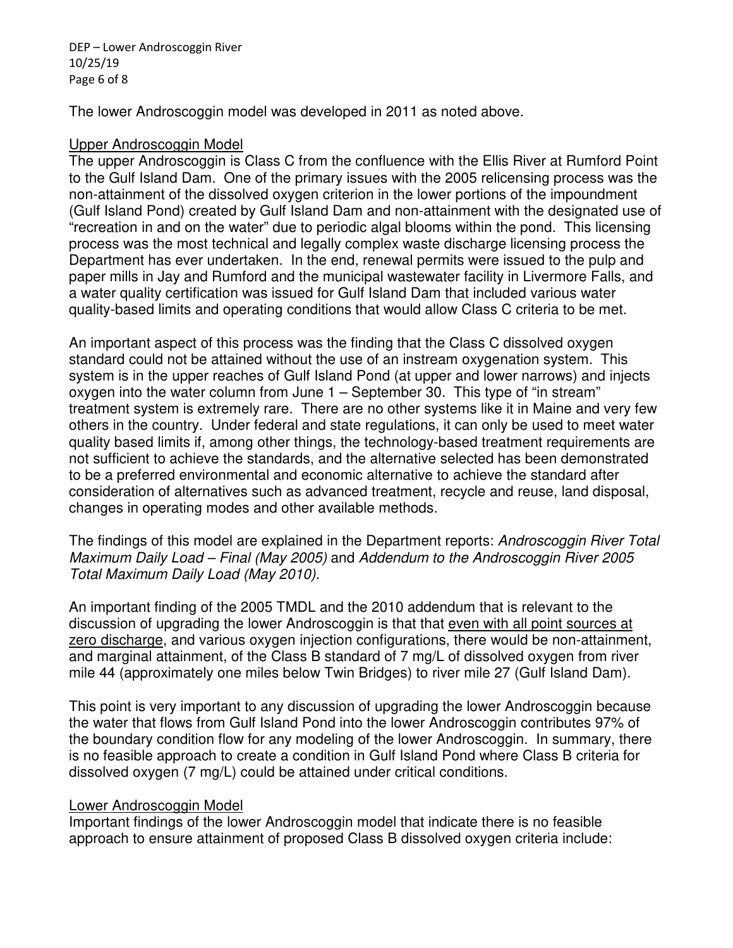DEP – Lower Androscoggin River 10/25/19 Page 6 of 8

The lower Androscoggin model was developed in 2011 as noted above.

#### Upper Androscoggin Model

The upper Androscoggin is Class C from the confluence with the Ellis River at Rumford Point to the Gulf Island Dam. One of the primary issues with the 2005 relicensing process was the non-attainment of the dissolved oxygen criterion in the lower portions of the impoundment (Gulf Island Pond) created by Gulf Island Dam and non-attainment with the designated use of "recreation in and on the water" due to periodic algal blooms within the pond. This licensing process was the most technical and legally complex waste discharge licensing process the Department has ever undertaken. In the end, renewal permits were issued to the pulp and paper mills in Jay and Rumford and the municipal wastewater facility in Livermore Falls, and a water quality certification was issued for Gulf Island Dam that included various water quality-based limits and operating conditions that would allow Class C criteria to be met.

An important aspect of this process was the finding that the Class C dissolved oxygen standard could not be attained without the use of an instream oxygenation system. This system is in the upper reaches of Gulf Island Pond (at upper and lower narrows) and injects oxygen into the water column from June 1 – September 30. This type of "in stream" treatment system is extremely rare. There are no other systems like it in Maine and very few others in the country. Under federal and state regulations, it can only be used to meet water quality based limits if, among other things, the technology-based treatment requirements are not sufficient to achieve the standards, and the alternative selected has been demonstrated to be a preferred environmental and economic alternative to achieve the standard after consideration of alternatives such as advanced treatment, recycle and reuse, land disposal, changes in operating modes and other available methods.

The findings of this model are explained in the Department reports: Androscoggin River Total Maximum Daily Load – Final (May 2005) and Addendum to the Androscoggin River 2005 Total Maximum Daily Load (May 2010).

An important finding of the 2005 TMDL and the 2010 addendum that is relevant to the discussion of upgrading the lower Androscoggin is that that even with all point sources at zero discharge, and various oxygen injection configurations, there would be non-attainment, and marginal attainment, of the Class B standard of 7 mg/L of dissolved oxygen from river mile 44 (approximately one miles below Twin Bridges) to river mile 27 (Gulf Island Dam).

This point is very important to any discussion of upgrading the lower Androscoggin because the water that flows from Gulf Island Pond into the lower Androscoggin contributes 97% of the boundary condition flow for any modeling of the lower Androscoggin. In summary, there is no feasible approach to create a condition in Gulf Island Pond where Class B criteria for dissolved oxygen (7 mg/L) could be attained under critical conditions.

## Lower Androscoggin Model

Important findings of the lower Androscoggin model that indicate there is no feasible approach to ensure attainment of proposed Class B dissolved oxygen criteria include: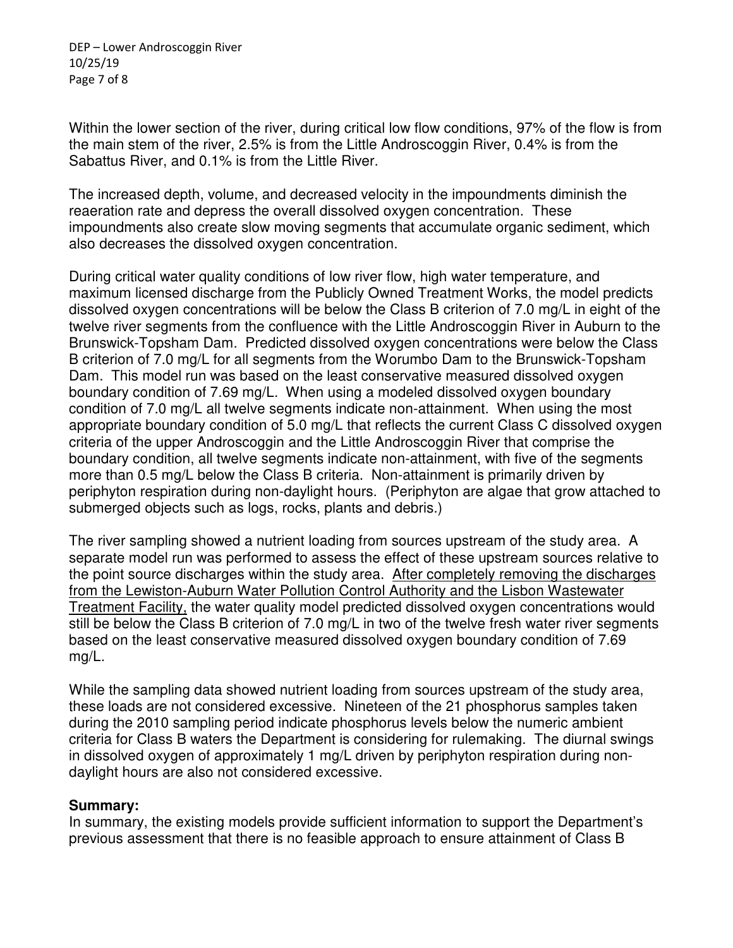DEP – Lower Androscoggin River 10/25/19 Page 7 of 8

Within the lower section of the river, during critical low flow conditions, 97% of the flow is from the main stem of the river, 2.5% is from the Little Androscoggin River, 0.4% is from the Sabattus River, and 0.1% is from the Little River.

The increased depth, volume, and decreased velocity in the impoundments diminish the reaeration rate and depress the overall dissolved oxygen concentration. These impoundments also create slow moving segments that accumulate organic sediment, which also decreases the dissolved oxygen concentration.

During critical water quality conditions of low river flow, high water temperature, and maximum licensed discharge from the Publicly Owned Treatment Works, the model predicts dissolved oxygen concentrations will be below the Class B criterion of 7.0 mg/L in eight of the twelve river segments from the confluence with the Little Androscoggin River in Auburn to the Brunswick-Topsham Dam. Predicted dissolved oxygen concentrations were below the Class B criterion of 7.0 mg/L for all segments from the Worumbo Dam to the Brunswick-Topsham Dam. This model run was based on the least conservative measured dissolved oxygen boundary condition of 7.69 mg/L. When using a modeled dissolved oxygen boundary condition of 7.0 mg/L all twelve segments indicate non-attainment. When using the most appropriate boundary condition of 5.0 mg/L that reflects the current Class C dissolved oxygen criteria of the upper Androscoggin and the Little Androscoggin River that comprise the boundary condition, all twelve segments indicate non-attainment, with five of the segments more than 0.5 mg/L below the Class B criteria. Non-attainment is primarily driven by periphyton respiration during non-daylight hours. (Periphyton are algae that grow attached to submerged objects such as logs, rocks, plants and debris.)

The river sampling showed a nutrient loading from sources upstream of the study area. A separate model run was performed to assess the effect of these upstream sources relative to the point source discharges within the study area. After completely removing the discharges from the Lewiston-Auburn Water Pollution Control Authority and the Lisbon Wastewater Treatment Facility, the water quality model predicted dissolved oxygen concentrations would still be below the Class B criterion of 7.0 mg/L in two of the twelve fresh water river segments based on the least conservative measured dissolved oxygen boundary condition of 7.69 mg/L.

While the sampling data showed nutrient loading from sources upstream of the study area, these loads are not considered excessive. Nineteen of the 21 phosphorus samples taken during the 2010 sampling period indicate phosphorus levels below the numeric ambient criteria for Class B waters the Department is considering for rulemaking. The diurnal swings in dissolved oxygen of approximately 1 mg/L driven by periphyton respiration during nondaylight hours are also not considered excessive.

#### **Summary:**

In summary, the existing models provide sufficient information to support the Department's previous assessment that there is no feasible approach to ensure attainment of Class B